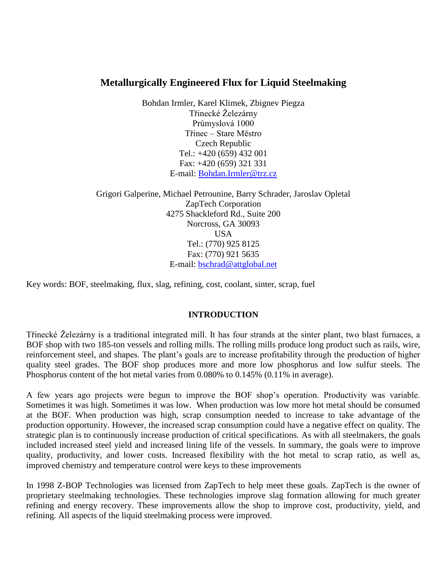# **Metallurgically Engineered Flux for Liquid Steelmaking**

Bohdan Irmler, Karel Klimek, Zbignev Piegza Třinecké Železárny Průmyslová 1000 Třinec – Stare Městro Czech Republic Tel.: +420 (659) 432 001 Fax: +420 (659) 321 331 E-mail: [Bohdan.Irmler@trz.cz](mailto:Bohdan.Irmler@trz.cz)

Grigori Galperine, Michael Petrounine, Barry Schrader, Jaroslav Opletal ZapTech Corporation 4275 Shackleford Rd., Suite 200 Norcross, GA 30093 USA Tel.: (770) 925 8125 Fax: (770) 921 5635 E-mail: [bschrad@attglobal.net](mailto:bschrad@attglobal.net)

Key words: BOF, steelmaking, flux, slag, refining, cost, coolant, sinter, scrap, fuel

# **INTRODUCTION**

Třinecké Železárny is a traditional integrated mill. It has four strands at the sinter plant, two blast furnaces, a BOF shop with two 185-ton vessels and rolling mills. The rolling mills produce long product such as rails, wire, reinforcement steel, and shapes. The plant's goals are to increase profitability through the production of higher quality steel grades. The BOF shop produces more and more low phosphorus and low sulfur steels. The Phosphorus content of the hot metal varies from 0.080% to 0.145% (0.11% in average).

A few years ago projects were begun to improve the BOF shop's operation. Productivity was variable. Sometimes it was high. Sometimes it was low. When production was low more hot metal should be consumed at the BOF. When production was high, scrap consumption needed to increase to take advantage of the production opportunity. However, the increased scrap consumption could have a negative effect on quality. The strategic plan is to continuously increase production of critical specifications. As with all steelmakers, the goals included increased steel yield and increased lining life of the vessels. In summary, the goals were to improve quality, productivity, and lower costs. Increased flexibility with the hot metal to scrap ratio, as well as, improved chemistry and temperature control were keys to these improvements

In 1998 Z-BOP Technologies was licensed from ZapTech to help meet these goals. ZapTech is the owner of proprietary steelmaking technologies. These technologies improve slag formation allowing for much greater refining and energy recovery. These improvements allow the shop to improve cost, productivity, yield, and refining. All aspects of the liquid steelmaking process were improved.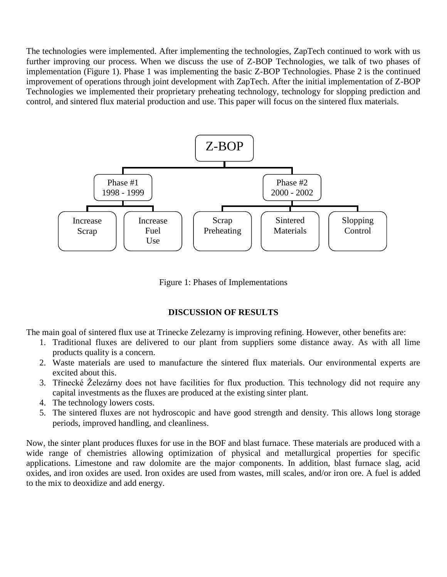The technologies were implemented. After implementing the technologies, ZapTech continued to work with us further improving our process. When we discuss the use of Z-BOP Technologies, we talk of two phases of implementation (Figure 1). Phase 1 was implementing the basic Z-BOP Technologies. Phase 2 is the continued improvement of operations through joint development with ZapTech. After the initial implementation of Z-BOP Technologies we implemented their proprietary preheating technology, technology for slopping prediction and control, and sintered flux material production and use. This paper will focus on the sintered flux materials.



Figure 1: Phases of Implementations

# **DISCUSSION OF RESULTS**

The main goal of sintered flux use at Trinecke Zelezarny is improving refining. However, other benefits are:

- 1. Traditional fluxes are delivered to our plant from suppliers some distance away. As with all lime products quality is a concern.
- 2. Waste materials are used to manufacture the sintered flux materials. Our environmental experts are excited about this.
- 3. Třinecké Železárny does not have facilities for flux production. This technology did not require any capital investments as the fluxes are produced at the existing sinter plant.
- 4. The technology lowers costs.
- 5. The sintered fluxes are not hydroscopic and have good strength and density. This allows long storage periods, improved handling, and cleanliness.

Now, the sinter plant produces fluxes for use in the BOF and blast furnace. These materials are produced with a wide range of chemistries allowing optimization of physical and metallurgical properties for specific applications. Limestone and raw dolomite are the major components. In addition, blast furnace slag, acid oxides, and iron oxides are used. Iron oxides are used from wastes, mill scales, and/or iron ore. A fuel is added to the mix to deoxidize and add energy.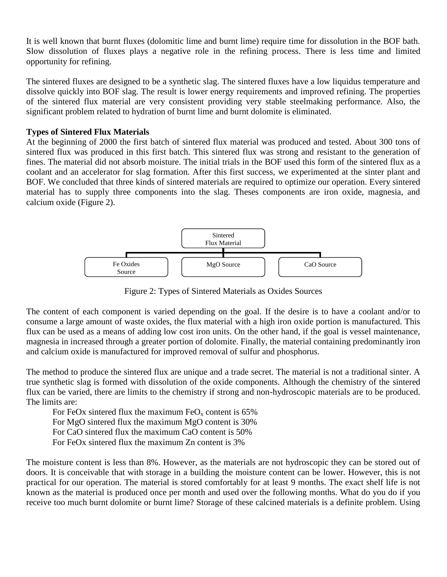It is well known that burnt fluxes (dolomitic lime and burnt lime) require time for dissolution in the BOF bath. Slow dissolution of fluxes plays a negative role in the refining process. There is less time and limited opportunity for refining.

The sintered fluxes are designed to be a synthetic slag. The sintered fluxes have a low liquidus temperature and dissolve quickly into BOF slag. The result is lower energy requirements and improved refining. The properties of the sintered flux material are very consistent providing very stable steelmaking performance. Also, the significant problem related to hydration of burnt lime and burnt dolomite is eliminated.

### **Types of Sintered Flux Materials**

At the beginning of 2000 the first batch of sintered flux material was produced and tested. About 300 tons of sintered flux was produced in this first batch. This sintered flux was strong and resistant to the generation of fines. The material did not absorb moisture. The initial trials in the BOF used this form of the sintered flux as a coolant and an accelerator for slag formation. After this first success, we experimented at the sinter plant and BOF. We concluded that three kinds of sintered materials are required to optimize our operation. Every sintered material has to supply three components into the slag. Theses components are iron oxide, magnesia, and calcium oxide (Figure 2).



Figure 2: Types of Sintered Materials as Oxides Sources

The content of each component is varied depending on the goal. If the desire is to have a coolant and/or to consume a large amount of waste oxides, the flux material with a high iron oxide portion is manufactured. This flux can be used as a means of adding low cost iron units. On the other hand, if the goal is vessel maintenance, magnesia in increased through a greater portion of dolomite. Finally, the material containing predominantly iron and calcium oxide is manufactured for improved removal of sulfur and phosphorus.

The method to produce the sintered flux are unique and a trade secret. The material is not a traditional sinter. A true synthetic slag is formed with dissolution of the oxide components. Although the chemistry of the sintered flux can be varied, there are limits to the chemistry if strong and non-hydroscopic materials are to be produced. The limits are:

For FeOx sintered flux the maximum  $FeO<sub>x</sub>$  content is 65% For MgO sintered flux the maximum MgO content is 30% For CaO sintered flux the maximum CaO content is 50%

For FeOx sintered flux the maximum Zn content is 3%

The moisture content is less than 8%. However, as the materials are not hydroscopic they can be stored out of doors. It is conceivable that with storage in a building the moisture content can be lower. However, this is not practical for our operation. The material is stored comfortably for at least 9 months. The exact shelf life is not known as the material is produced once per month and used over the following months. What do you do if you receive too much burnt dolomite or burnt lime? Storage of these calcined materials is a definite problem. Using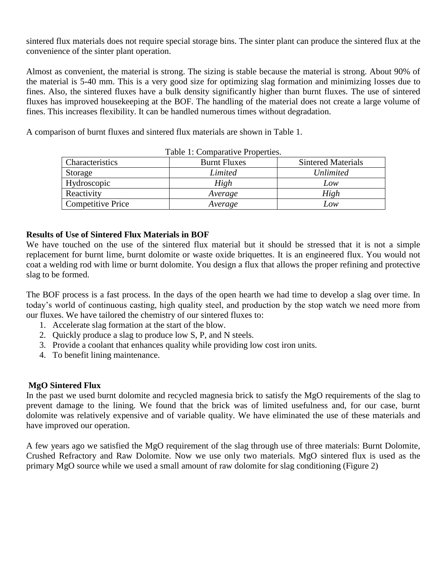sintered flux materials does not require special storage bins. The sinter plant can produce the sintered flux at the convenience of the sinter plant operation.

Almost as convenient, the material is strong. The sizing is stable because the material is strong. About 90% of the material is 5-40 mm. This is a very good size for optimizing slag formation and minimizing losses due to fines. Also, the sintered fluxes have a bulk density significantly higher than burnt fluxes. The use of sintered fluxes has improved housekeeping at the BOF. The handling of the material does not create a large volume of fines. This increases flexibility. It can be handled numerous times without degradation.

A comparison of burnt fluxes and sintered flux materials are shown in Table 1.

| Characteristics          | <b>Burnt Fluxes</b> | <b>Sintered Materials</b> |  |
|--------------------------|---------------------|---------------------------|--|
| Storage                  | Limited             | <i>Unlimited</i>          |  |
| Hydroscopic              | High                | Low                       |  |
| Reactivity               | Average             | High                      |  |
| <b>Competitive Price</b> | Average             | Low                       |  |

Table 1: Comparative Properties.

# **Results of Use of Sintered Flux Materials in BOF**

We have touched on the use of the sintered flux material but it should be stressed that it is not a simple replacement for burnt lime, burnt dolomite or waste oxide briquettes. It is an engineered flux. You would not coat a welding rod with lime or burnt dolomite. You design a flux that allows the proper refining and protective slag to be formed.

The BOF process is a fast process. In the days of the open hearth we had time to develop a slag over time. In today's world of continuous casting, high quality steel, and production by the stop watch we need more from our fluxes. We have tailored the chemistry of our sintered fluxes to:

- 1. Accelerate slag formation at the start of the blow.
- 2. Quickly produce a slag to produce low S, P, and N steels.
- 3. Provide a coolant that enhances quality while providing low cost iron units.
- 4. To benefit lining maintenance.

# **MgO Sintered Flux**

In the past we used burnt dolomite and recycled magnesia brick to satisfy the MgO requirements of the slag to prevent damage to the lining. We found that the brick was of limited usefulness and, for our case, burnt dolomite was relatively expensive and of variable quality. We have eliminated the use of these materials and have improved our operation.

A few years ago we satisfied the MgO requirement of the slag through use of three materials: Burnt Dolomite, Crushed Refractory and Raw Dolomite. Now we use only two materials. MgO sintered flux is used as the primary MgO source while we used a small amount of raw dolomite for slag conditioning (Figure 2)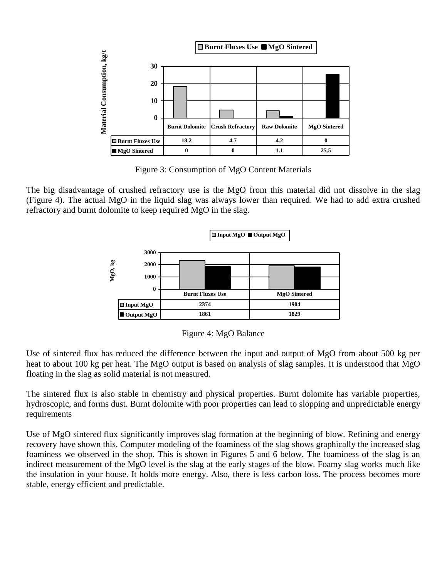

Figure 3: Consumption of MgO Content Materials

The big disadvantage of crushed refractory use is the MgO from this material did not dissolve in the slag (Figure 4). The actual MgO in the liquid slag was always lower than required. We had to add extra crushed refractory and burnt dolomite to keep required MgO in the slag.



Figure 4: MgO Balance

Use of sintered flux has reduced the difference between the input and output of MgO from about 500 kg per heat to about 100 kg per heat. The MgO output is based on analysis of slag samples. It is understood that MgO floating in the slag as solid material is not measured.

The sintered flux is also stable in chemistry and physical properties. Burnt dolomite has variable properties, hydroscopic, and forms dust. Burnt dolomite with poor properties can lead to slopping and unpredictable energy requirements

Use of MgO sintered flux significantly improves slag formation at the beginning of blow. Refining and energy recovery have shown this. Computer modeling of the foaminess of the slag shows graphically the increased slag foaminess we observed in the shop. This is shown in Figures 5 and 6 below. The foaminess of the slag is an indirect measurement of the MgO level is the slag at the early stages of the blow. Foamy slag works much like the insulation in your house. It holds more energy. Also, there is less carbon loss. The process becomes more stable, energy efficient and predictable.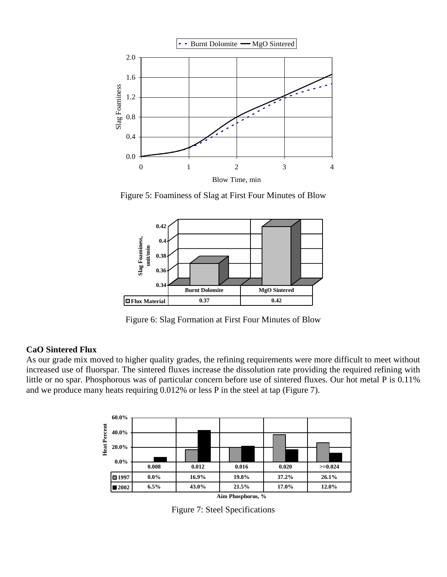

Figure 5: Foaminess of Slag at First Four Minutes of Blow



Figure 6: Slag Formation at First Four Minutes of Blow

#### **CaO Sintered Flux**

As our grade mix moved to higher quality grades, the refining requirements were more difficult to meet without increased use of fluorspar. The sintered fluxes increase the dissolution rate providing the required refining with little or no spar. Phosphorous was of particular concern before use of sintered fluxes. Our hot metal P is 0.11% and we produce many heats requiring 0.012% or less P in the steel at tap (Figure 7).



Figure 7: Steel Specifications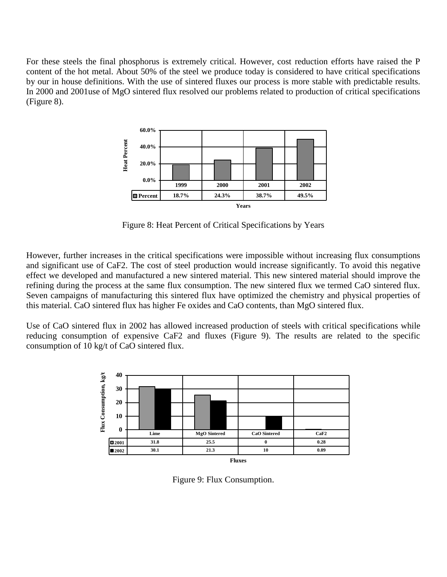For these steels the final phosphorus is extremely critical. However, cost reduction efforts have raised the P content of the hot metal. About 50% of the steel we produce today is considered to have critical specifications by our in house definitions. With the use of sintered fluxes our process is more stable with predictable results. In 2000 and 2001use of MgO sintered flux resolved our problems related to production of critical specifications (Figure 8).



Figure 8: Heat Percent of Critical Specifications by Years

However, further increases in the critical specifications were impossible without increasing flux consumptions and significant use of CaF2. The cost of steel production would increase significantly. To avoid this negative effect we developed and manufactured a new sintered material. This new sintered material should improve the refining during the process at the same flux consumption. The new sintered flux we termed CaO sintered flux. Seven campaigns of manufacturing this sintered flux have optimized the chemistry and physical properties of this material. CaO sintered flux has higher Fe oxides and CaO contents, than MgO sintered flux.

Use of CaO sintered flux in 2002 has allowed increased production of steels with critical specifications while reducing consumption of expensive CaF2 and fluxes (Figure 9). The results are related to the specific consumption of 10 kg/t of CaO sintered flux.



Figure 9: Flux Consumption.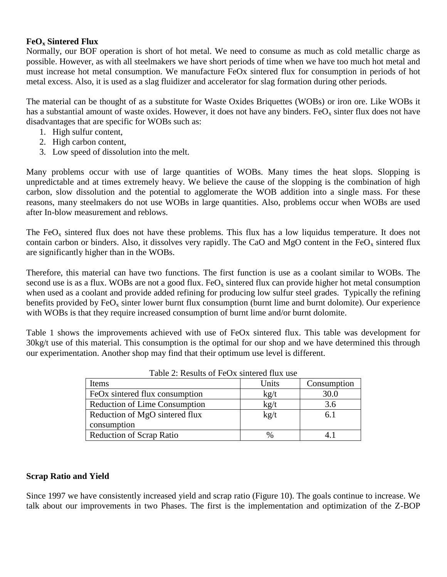### **FeO<sup>x</sup> Sintered Flux**

Normally, our BOF operation is short of hot metal. We need to consume as much as cold metallic charge as possible. However, as with all steelmakers we have short periods of time when we have too much hot metal and must increase hot metal consumption. We manufacture FeOx sintered flux for consumption in periods of hot metal excess. Also, it is used as a slag fluidizer and accelerator for slag formation during other periods.

The material can be thought of as a substitute for Waste Oxides Briquettes (WOBs) or iron ore. Like WOBs it has a substantial amount of waste oxides. However, it does not have any binders. FeO<sub>x</sub> sinter flux does not have disadvantages that are specific for WOBs such as:

- 1. High sulfur content,
- 2. High carbon content,
- 3. Low speed of dissolution into the melt.

Many problems occur with use of large quantities of WOBs. Many times the heat slops. Slopping is unpredictable and at times extremely heavy. We believe the cause of the slopping is the combination of high carbon, slow dissolution and the potential to agglomerate the WOB addition into a single mass. For these reasons, many steelmakers do not use WOBs in large quantities. Also, problems occur when WOBs are used after In-blow measurement and reblows.

The FeO<sub>x</sub> sintered flux does not have these problems. This flux has a low liquidus temperature. It does not contain carbon or binders. Also, it dissolves very rapidly. The CaO and MgO content in the  $FeO<sub>x</sub>$  sintered flux are significantly higher than in the WOBs.

Therefore, this material can have two functions. The first function is use as a coolant similar to WOBs. The second use is as a flux. WOBs are not a good flux. FeO<sub>x</sub> sintered flux can provide higher hot metal consumption when used as a coolant and provide added refining for producing low sulfur steel grades. Typically the refining benefits provided by  $FeO<sub>x</sub>$  sinter lower burnt flux consumption (burnt lime and burnt dolomite). Our experience with WOBs is that they require increased consumption of burnt lime and/or burnt dolomite.

Table 1 shows the improvements achieved with use of FeOx sintered flux. This table was development for 30kg/t use of this material. This consumption is the optimal for our shop and we have determined this through our experimentation. Another shop may find that their optimum use level is different.

| Items                                | Units                | Consumption |
|--------------------------------------|----------------------|-------------|
| FeOx sintered flux consumption       | $\text{kg}/\text{t}$ | 30.0        |
| <b>Reduction of Lime Consumption</b> | $kgt$ t              | 3.6         |
| Reduction of MgO sintered flux       | $\text{kg}/\text{t}$ | 6.1         |
| consumption                          |                      |             |
| <b>Reduction of Scrap Ratio</b>      | %                    |             |

Table 2: Results of FeOx sintered flux use

#### **Scrap Ratio and Yield**

Since 1997 we have consistently increased yield and scrap ratio (Figure 10). The goals continue to increase. We talk about our improvements in two Phases. The first is the implementation and optimization of the Z-BOP